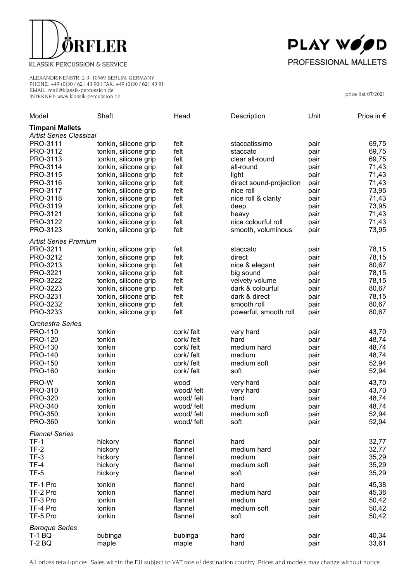

## KLASSIK PERCUSSION & SERVICE

ALEXANDRINENSTR. 2-3, 10969 BERLIN, GERMANY PHONE: +49 (0)30 / 621 43 90 | FAX: +49 (0)30 / 621 43 91 EMAIL: mail@klassik-percussion.de INTERNET: www.klassik-percussion.de



price list 07/2021

| Model                                                    | Shaft                 | Head       | Description             | Unit | Price in $\epsilon$ |  |  |
|----------------------------------------------------------|-----------------------|------------|-------------------------|------|---------------------|--|--|
| <b>Timpani Mallets</b><br><b>Artist Series Classical</b> |                       |            |                         |      |                     |  |  |
| PRO-3111                                                 | tonkin, silicone grip | felt       | staccatissimo           | pair | 69,75               |  |  |
| PRO-3112                                                 | tonkin, silicone grip | felt       | staccato                | pair | 69,75               |  |  |
| PRO-3113                                                 | tonkin, silicone grip | felt       | clear all-round         | pair | 69,75               |  |  |
| PRO-3114                                                 | tonkin, silicone grip | felt       | all-round               | pair | 71,43               |  |  |
| PRO-3115                                                 | tonkin, silicone grip | felt       | light                   | pair | 71,43               |  |  |
| PRO-3116                                                 | tonkin, silicone grip | felt       | direct sound-projection | pair | 71,43               |  |  |
| PRO-3117                                                 | tonkin, silicone grip | felt       | nice roll               | pair | 73,95               |  |  |
| PRO-3118                                                 | tonkin, silicone grip | felt       | nice roll & clarity     | pair | 71,43               |  |  |
| PRO-3119                                                 | tonkin, silicone grip | felt       | deep                    | pair | 73,95               |  |  |
| PRO-3121                                                 | tonkin, silicone grip | felt       | heavy                   | pair | 71,43               |  |  |
| PRO-3122                                                 | tonkin, silicone grip | felt       | nice colourful roll     | pair | 71,43               |  |  |
| PRO-3123                                                 | tonkin, silicone grip | felt       | smooth, voluminous      | pair | 73,95               |  |  |
| <b>Artist Series Premium</b>                             |                       |            |                         |      |                     |  |  |
| PRO-3211                                                 | tonkin, silicone grip | felt       | staccato                | pair | 78,15               |  |  |
| PRO-3212                                                 | tonkin, silicone grip | felt       | direct                  | pair | 78,15               |  |  |
| PRO-3213                                                 | tonkin, silicone grip | felt       | nice & elegant          | pair | 80,67               |  |  |
| PRO-3221                                                 | tonkin, silicone grip | felt       | big sound               | pair | 78,15               |  |  |
| PRO-3222                                                 | tonkin, silicone grip | felt       | velvety volume          | pair | 78,15               |  |  |
| PRO-3223                                                 | tonkin, silicone grip | felt       | dark & colourful        | pair | 80,67               |  |  |
| PRO-3231                                                 | tonkin, silicone grip | felt       | dark & direct           | pair | 78,15               |  |  |
| PRO-3232                                                 | tonkin, silicone grip | felt       | smooth roll             | pair | 80,67               |  |  |
| PRO-3233                                                 | tonkin, silicone grip | felt       | powerful, smooth roll   | pair | 80,67               |  |  |
| <b>Orchestra Series</b>                                  |                       |            |                         |      |                     |  |  |
| <b>PRO-110</b>                                           | tonkin                | cork/ felt | very hard               | pair | 43,70               |  |  |
| <b>PRO-120</b>                                           | tonkin                | cork/ felt | hard                    | pair | 48,74               |  |  |
| <b>PRO-130</b>                                           | tonkin                | cork/ felt | medium hard             | pair | 48,74               |  |  |
| <b>PRO-140</b>                                           | tonkin                | cork/ felt | medium                  | pair | 48,74               |  |  |
| <b>PRO-150</b>                                           | tonkin                | cork/ felt | medium soft             | pair | 52,94               |  |  |
| <b>PRO-160</b>                                           | tonkin                | cork/ felt | soft                    | pair | 52,94               |  |  |
| PRO-W                                                    | tonkin                | wood       | very hard               | pair | 43,70               |  |  |
| <b>PRO-310</b>                                           | tonkin                | wood/ felt | very hard               | pair | 43,70               |  |  |
| <b>PRO-320</b>                                           | tonkin                | wood/ felt | hard                    | pair | 48,74               |  |  |
| <b>PRO-340</b>                                           | tonkin                | wood/ felt | medium                  | pair | 48,74               |  |  |
| <b>PRO-350</b>                                           | tonkin                | wood/ felt | medium soft             | pair | 52,94               |  |  |
| PRO-360                                                  | tonkin                | wood/ felt | soft                    | pair | 52,94               |  |  |
| <b>Flannel Series</b>                                    |                       |            |                         |      |                     |  |  |
| $TF-1$                                                   | hickory               | flannel    | hard                    | pair | 32,77               |  |  |
| $TF-2$                                                   | hickory               | flannel    | medium hard             | pair | 32,77               |  |  |
| $TF-3$                                                   | hickory               | flannel    | medium                  | pair | 35,29               |  |  |
| $TF-4$                                                   | hickory               | flannel    | medium soft             | pair | 35,29               |  |  |
| $TF-5$                                                   | hickory               | flannel    | soft                    | pair | 35,29               |  |  |
| TF-1 Pro                                                 | tonkin                | flannel    | hard                    | pair | 45,38               |  |  |
| TF-2 Pro                                                 | tonkin                | flannel    | medium hard             | pair | 45,38               |  |  |
| TF-3 Pro                                                 | tonkin                | flannel    | medium                  | pair | 50,42               |  |  |
| TF-4 Pro                                                 | tonkin                | flannel    | medium soft             | pair | 50,42               |  |  |
| TF-5 Pro                                                 | tonkin                | flannel    | soft                    | pair | 50,42               |  |  |
| <b>Baroque Series</b>                                    |                       |            |                         |      |                     |  |  |
| <b>T-1 BQ</b>                                            | bubinga               | bubinga    | hard                    | pair | 40,34               |  |  |
| <b>T-2 BQ</b>                                            |                       |            |                         |      | 33,61               |  |  |
|                                                          | maple                 | maple      | hard                    | pair |                     |  |  |

All prices retail-prices. Sales within the EU subject to VAT rate of destination country. Prices and models may change without notice.